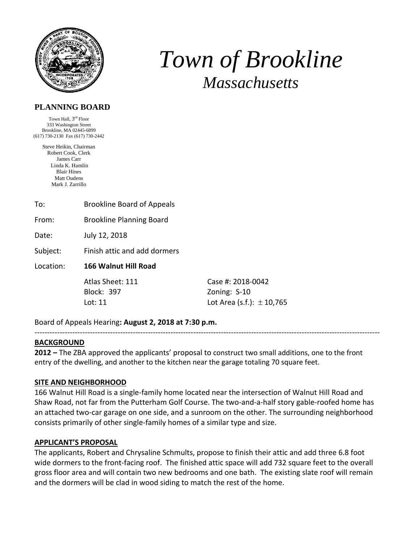

# *Town of Brookline Massachusetts*

### **PLANNING BOARD**

Town Hall,  $3<sup>rd</sup>$  Floor 333 Washington Street Brookline, MA 02445-6899 (617) 730-2130 Fax (617) 730-2442

> Steve Heikin, Chairman Robert Cook, Clerk James Carr Linda K. Hamlin Blair Hines Matt Oudens Mark J. Zarrillo

| To: | <b>Brookline Board of Appeals</b> |
|-----|-----------------------------------|
|-----|-----------------------------------|

From: Brookline Planning Board

Date: July 12, 2018

Subject: Finish attic and add dormers

Location: **166 Walnut Hill Road**

Block: 397 Zoning: S‐10

 Atlas Sheet: 111 Case #: 2018‐0042 Lot: 11  $\text{Lot Area (s.f.): } \pm 10,765$ 

Board of Appeals Hearing**: August 2, 2018 at 7:30 p.m.**

### **BACKGROUND**

**2012 –** The ZBA approved the applicants' proposal to construct two small additions, one to the front entry of the dwelling, and another to the kitchen near the garage totaling 70 square feet.

‐‐‐‐‐‐‐‐‐‐‐‐‐‐‐‐‐‐‐‐‐‐‐‐‐‐‐‐‐‐‐‐‐‐‐‐‐‐‐‐‐‐‐‐‐‐‐‐‐‐‐‐‐‐‐‐‐‐‐‐‐‐‐‐‐‐‐‐‐‐‐‐‐‐‐‐‐‐‐‐‐‐‐‐‐‐‐‐‐‐‐‐‐‐‐‐‐‐‐‐‐‐‐‐‐‐‐‐‐‐‐‐‐‐‐‐‐‐‐‐‐‐‐‐‐‐‐‐‐‐‐‐‐‐‐‐‐

### **SITE AND NEIGHBORHOOD**

166 Walnut Hill Road is a single-family home located near the intersection of Walnut Hill Road and Shaw Road, not far from the Putterham Golf Course. The two-and-a-half story gable-roofed home has an attached two-car garage on one side, and a sunroom on the other. The surrounding neighborhood consists primarily of other single‐family homes of a similar type and size.

### **APPLICANT'S PROPOSAL**

The applicants, Robert and Chrysaline Schmults, propose to finish their attic and add three 6.8 foot wide dormers to the front-facing roof. The finished attic space will add 732 square feet to the overall gross floor area and will contain two new bedrooms and one bath. The existing slate roof will remain and the dormers will be clad in wood siding to match the rest of the home.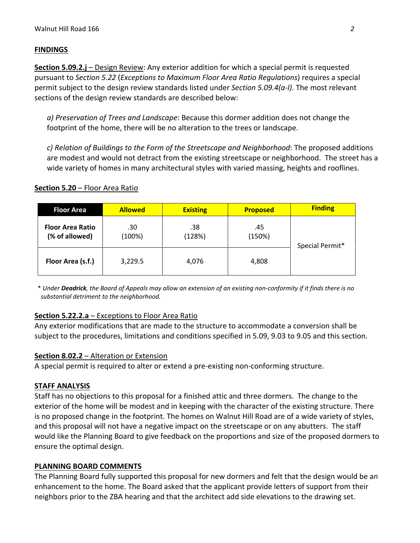### **FINDINGS**

**Section 5.09.2.j** – Design Review: Any exterior addition for which a special permit is requested pursuant to *Section 5.22* (*Exceptions to Maximum Floor Area Ratio Regulations*) requires a special permit subject to the design review standards listed under *Section 5.09.4(a‐l)*. The most relevant sections of the design review standards are described below:

*a) Preservation of Trees and Landscape*: Because this dormer addition does not change the footprint of the home, there will be no alteration to the trees or landscape.

*c) Relation of Buildings to the Form of the Streetscape and Neighborhood*: The proposed additions are modest and would not detract from the existing streetscape or neighborhood. The street has a wide variety of homes in many architectural styles with varied massing, heights and rooflines.

### **Section 5.20** – Floor Area Ratio

| <b>Floor Area</b>                         | <b>Allowed</b> | <b>Existing</b> | <b>Proposed</b> | <b>Finding</b>  |
|-------------------------------------------|----------------|-----------------|-----------------|-----------------|
| <b>Floor Area Ratio</b><br>(% of allowed) | .30<br>(100%)  | .38<br>(128%)   | .45<br>(150%)   | Special Permit* |
| Floor Area (s.f.)                         | 3,229.5        | 4,076           | 4,808           |                 |

\* Under Deadrick, the Board of Appeals may allow an extension of an existing non-conformity if it finds there is no  *substantial detriment to the neighborhood.*

### **Section 5.22.2.a** – Exceptions to Floor Area Ratio

Any exterior modifications that are made to the structure to accommodate a conversion shall be subject to the procedures, limitations and conditions specified in 5.09, 9.03 to 9.05 and this section.

### **Section 8.02.2** – Alteration or Extension

A special permit is required to alter or extend a pre‐existing non‐conforming structure.

### **STAFF ANALYSIS**

Staff has no objections to this proposal for a finished attic and three dormers. The change to the exterior of the home will be modest and in keeping with the character of the existing structure. There is no proposed change in the footprint. The homes on Walnut Hill Road are of a wide variety of styles, and this proposal will not have a negative impact on the streetscape or on any abutters. The staff would like the Planning Board to give feedback on the proportions and size of the proposed dormers to ensure the optimal design.

### **PLANNING BOARD COMMENTS**

The Planning Board fully supported this proposal for new dormers and felt that the design would be an enhancement to the home. The Board asked that the applicant provide letters of support from their neighbors prior to the ZBA hearing and that the architect add side elevations to the drawing set.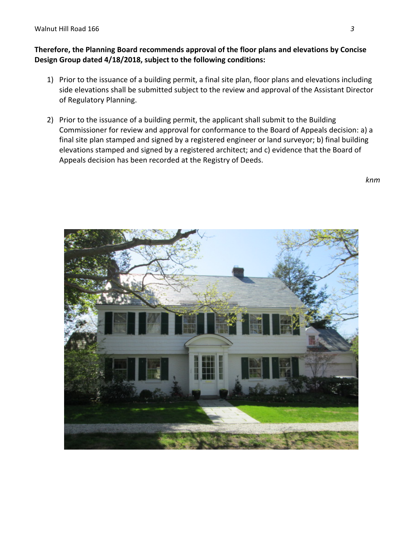### **Therefore, the Planning Board recommends approval of the floor plans and elevations by Concise Design Group dated 4/18/2018, subject to the following conditions:**

- 1) Prior to the issuance of a building permit, a final site plan, floor plans and elevations including side elevations shall be submitted subject to the review and approval of the Assistant Director of Regulatory Planning.
- 2) Prior to the issuance of a building permit, the applicant shall submit to the Building Commissioner for review and approval for conformance to the Board of Appeals decision: a) a final site plan stamped and signed by a registered engineer or land surveyor; b) final building elevations stamped and signed by a registered architect; and c) evidence that the Board of Appeals decision has been recorded at the Registry of Deeds.

*knm*

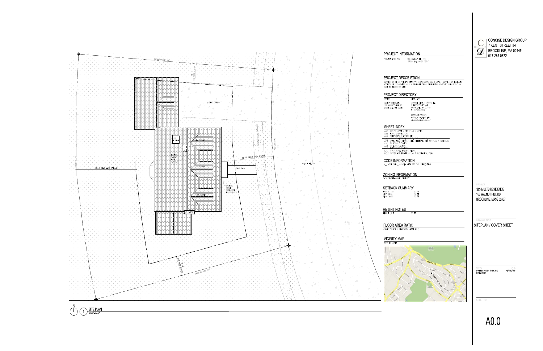



C CONCISE DESIGN GROUP **20** BROOKLINE, MA 02445

SCHMULTS RESIDENCE 166 WALNUT HILL RD BROOKLINE, MASS 02467

SITEPLAN / COVER SHEET

PRELIMINARY PRICING<br>DRAWINGS

 $4/18/18$ 

SHEET NO.

A0.0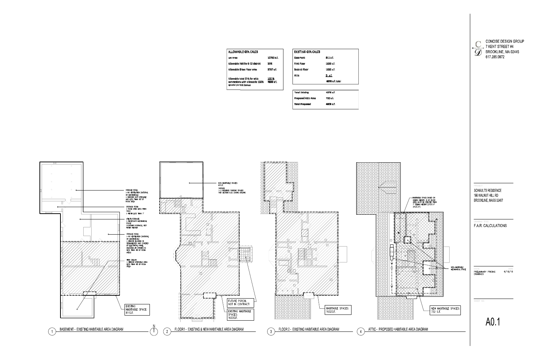| ALLOWABLE GFA CALCS                                                                      |                           |
|------------------------------------------------------------------------------------------|---------------------------|
| Let Area                                                                                 | 10763 a.f.                |
| Allowable FAR for 5-10 district                                                          | 35%                       |
| Allowable Gross Floor gree                                                               | 3767 a.f.                 |
| Allowable total GFA for attic<br>conversions with allowable 130%<br>special germit bonus | 130 %<br><b>4893 c.f.</b> |

| <b>EXISTING GFA CALCS</b> |                 |  |
|---------------------------|-----------------|--|
| <b>Basement</b>           | 811 a.f.        |  |
| First Floor               | 1633 a.f.       |  |
| <b>Sacond Floor</b>       | 1632 a.f.       |  |
| Attic                     | <u>0 a.f.</u>   |  |
|                           | 4078 s.f. total |  |

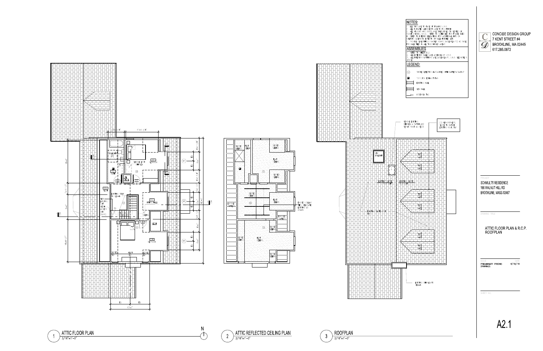![](_page_5_Figure_0.jpeg)

ATTIC FLOOR PLAN  $\overline{1}$  $3/16" = 1' - 0"$ 

![](_page_5_Picture_2.jpeg)

ROOFPLAN

 $3/16" = 1' - 0"$ 

 $3$ 

 $N$ 

 $\overline{\bigcirc}$ 

| NOTES.                                                                                                                                                                                                                                                                                                                                                                                                                                          |                                                                     |  |  |
|-------------------------------------------------------------------------------------------------------------------------------------------------------------------------------------------------------------------------------------------------------------------------------------------------------------------------------------------------------------------------------------------------------------------------------------------------|---------------------------------------------------------------------|--|--|
| ALL DIMS ARE TO FACE OF FRAMING U.N.O.<br>1.<br>ALL INDICATED ALIGNMENTS ARE TO F.O. FINISH<br>2.<br>3. ALL WINDOWS AND DOORS ARE DIMENSIONED TO CENTER OF<br>ROUGH OPENING, U.N.O REFER TO SCHEDULES FOR FRAME SIZES<br>REFER TO INTERIOR FLEVATIONS FOR ADDITIONAL INFO ON<br>4.<br>BUILT-IN CASEWORK, EXTENTS OF WALL FINISHES, ETC.<br>5. PROVIDE CEMENTITIOUS BACKER BOARD (ASSEMBLY P2) AS BASE<br>FOR WALL TILES IN ALL TUB/SHOWER AREAS |                                                                     |  |  |
|                                                                                                                                                                                                                                                                                                                                                                                                                                                 | ASSEMBLIES                                                          |  |  |
| 1.                                                                                                                                                                                                                                                                                                                                                                                                                                              | REFER TO SHEET AO.2<br>2. ALL EXTERIOR WALLS ARE ASSEMBLY WI U.N.O. |  |  |
| <b>ABOVE</b>                                                                                                                                                                                                                                                                                                                                                                                                                                    | 3. ALL INTERIOR PARTITIONS ARE ASSEMBLY P1, U.N.O. SEE NOTE 5       |  |  |
| LEGEND:                                                                                                                                                                                                                                                                                                                                                                                                                                         |                                                                     |  |  |
| (SD)                                                                                                                                                                                                                                                                                                                                                                                                                                            | SMOKE DETECTOR HARD-WRED WITH BATTERY BACKUP                        |  |  |
| ◪                                                                                                                                                                                                                                                                                                                                                                                                                                               | 150 C.F.M. EXHAUST FAN                                              |  |  |
|                                                                                                                                                                                                                                                                                                                                                                                                                                                 | <b>EXISTING WALL</b>                                                |  |  |
|                                                                                                                                                                                                                                                                                                                                                                                                                                                 | NFW WALL                                                            |  |  |
| IW5                                                                                                                                                                                                                                                                                                                                                                                                                                             | ASSEMBLY TAG                                                        |  |  |

![](_page_5_Picture_4.jpeg)

C CONCISE DESIGN GROUP<br>7 KENT STREET #4 **1** BROOKLINE, MA 02445

### SCHMULTS RESIDENCE 166 WALNUT HILL RD BROOKLINE, MASS 02467

DRAWING TITLE

## ATTIC FLOOR PLAN & R.C.P.<br>ROOFPLAN

PRELIMINARY PRICING<br>DRAWINGS

 $4/18/18$ 

SHEET NO.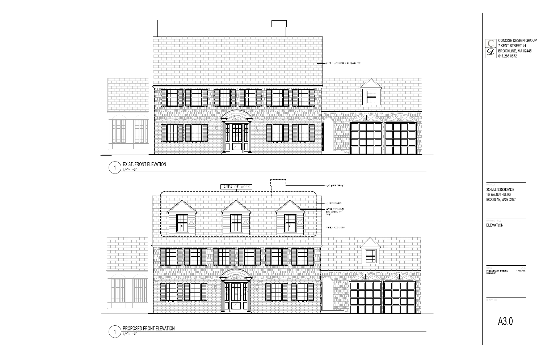![](_page_6_Figure_0.jpeg)

![](_page_6_Figure_1.jpeg)

![](_page_6_Picture_2.jpeg)

C CONCISE DESIGN GROUP<br>7 KENT STREET #4 **9 BROOKLINE, MA 02445**<br>617.285.0872

SCHMULTS RESIDENCE 166 WALNUT HILL RD BROOKLINE, MASS 02467

**ELEVATION** 

PRELIMINARY PRICING<br>DRAWINGS

 $4/18/18$ 

SHEET NO.

A3.0